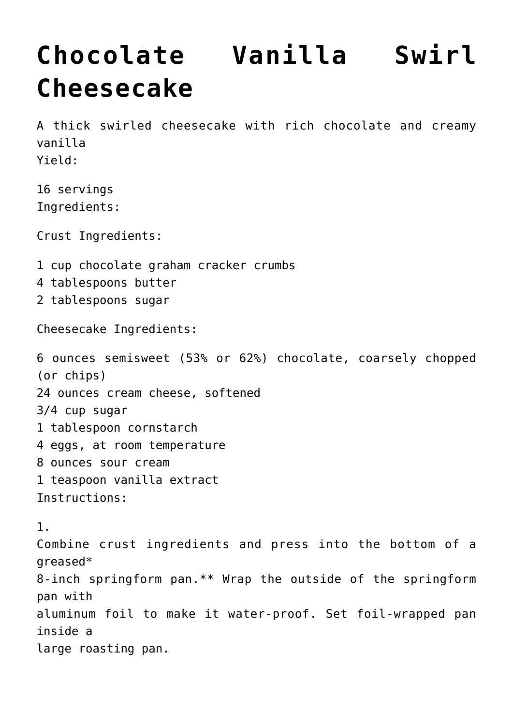## **[Chocolate Vanilla Swirl](https://lincon.com/site/chocolate-vanilla-swirl-cheesecake/) [Cheesecake](https://lincon.com/site/chocolate-vanilla-swirl-cheesecake/)**

A thick swirled cheesecake with rich chocolate and creamy vanilla Yield:

16 servings Ingredients:

Crust Ingredients:

- 1 cup chocolate graham cracker crumbs
- 4 tablespoons butter
- 2 tablespoons sugar

Cheesecake Ingredients:

6 ounces semisweet (53% or 62%) chocolate, coarsely chopped (or chips) 24 ounces cream cheese, softened 3/4 cup sugar 1 tablespoon cornstarch 4 eggs, at room temperature 8 ounces sour cream 1 teaspoon vanilla extract Instructions:

1. Combine crust ingredients and press into the bottom of a greased\* 8-inch springform pan.\*\* Wrap the outside of the springform pan with aluminum foil to make it water-proof. Set foil-wrapped pan inside a large roasting pan.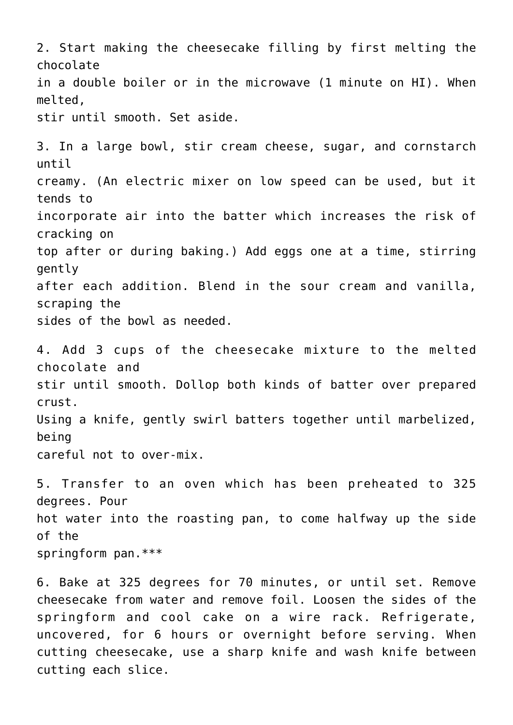2. Start making the cheesecake filling by first melting the chocolate in a double boiler or in the microwave (1 minute on HI). When melted, stir until smooth. Set aside. 3. In a large bowl, stir cream cheese, sugar, and cornstarch until creamy. (An electric mixer on low speed can be used, but it tends to incorporate air into the batter which increases the risk of cracking on top after or during baking.) Add eggs one at a time, stirring gently after each addition. Blend in the sour cream and vanilla, scraping the sides of the bowl as needed. 4. Add 3 cups of the cheesecake mixture to the melted chocolate and stir until smooth. Dollop both kinds of batter over prepared crust. Using a knife, gently swirl batters together until marbelized, being careful not to over-mix. 5. Transfer to an oven which has been preheated to 325 degrees. Pour hot water into the roasting pan, to come halfway up the side of the springform pan.\*\*\*

6. Bake at 325 degrees for 70 minutes, or until set. Remove cheesecake from water and remove foil. Loosen the sides of the springform and cool cake on a wire rack. Refrigerate, uncovered, for 6 hours or overnight before serving. When cutting cheesecake, use a sharp knife and wash knife between cutting each slice.